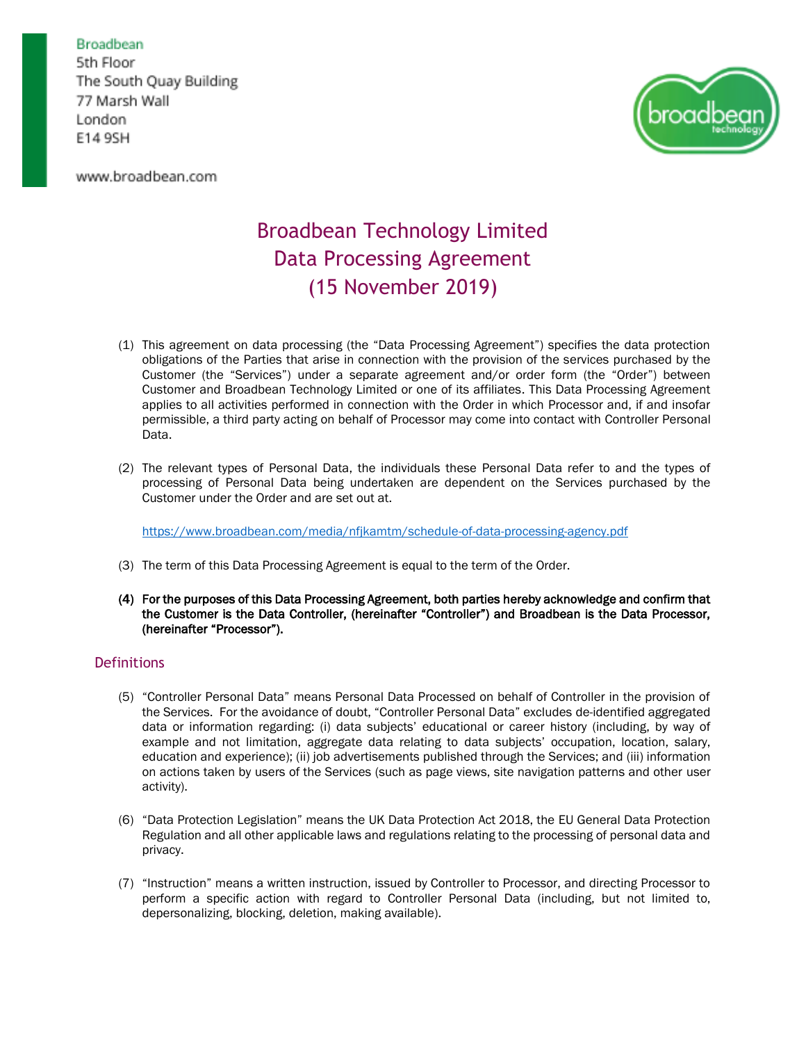www.broadbean.com



# Broadbean Technology Limited Data Processing Agreement (15 November 2019)

- (1) This agreement on data processing (the "Data Processing Agreement") specifies the data protection obligations of the Parties that arise in connection with the provision of the services purchased by the Customer (the "Services") under a separate agreement and/or order form (the "Order") between Customer and Broadbean Technology Limited or one of its affiliates. This Data Processing Agreement applies to all activities performed in connection with the Order in which Processor and, if and insofar permissible, a third party acting on behalf of Processor may come into contact with Controller Personal Data.
- (2) The relevant types of Personal Data, the individuals these Personal Data refer to and the types of processing of Personal Data being undertaken are dependent on the Services purchased by the Customer under the Order and are set out at.

<https://www.broadbean.com/media/nfjkamtm/schedule-of-data-processing-agency.pdf>

- (3) The term of this Data Processing Agreement is equal to the term of the Order.
- (4) For the purposes of this Data Processing Agreement, both parties hereby acknowledge and confirm that the Customer is the Data Controller, (hereinafter "Controller") and Broadbean is the Data Processor, (hereinafter "Processor").

# **Definitions**

- (5) "Controller Personal Data" means Personal Data Processed on behalf of Controller in the provision of the Services. For the avoidance of doubt, "Controller Personal Data" excludes de-identified aggregated data or information regarding: (i) data subjects' educational or career history (including, by way of example and not limitation, aggregate data relating to data subjects' occupation, location, salary, education and experience); (ii) job advertisements published through the Services; and (iii) information on actions taken by users of the Services (such as page views, site navigation patterns and other user activity).
- (6) "Data Protection Legislation" means the UK Data Protection Act 2018, the EU General Data Protection Regulation and all other applicable laws and regulations relating to the processing of personal data and privacy.
- (7) "Instruction" means a written instruction, issued by Controller to Processor, and directing Processor to perform a specific action with regard to Controller Personal Data (including, but not limited to, depersonalizing, blocking, deletion, making available).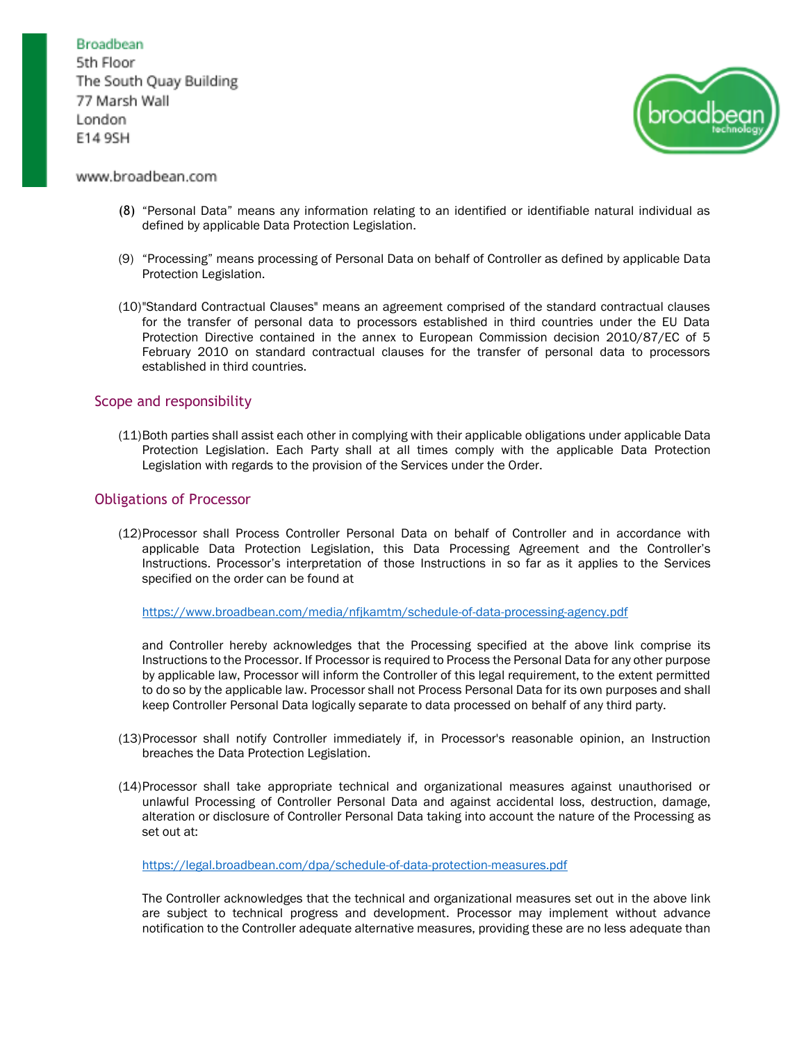

## www.broadbean.com

- (8) "Personal Data" means any information relating to an identified or identifiable natural individual as defined by applicable Data Protection Legislation.
- (9) "Processing" means processing of Personal Data on behalf of Controller as defined by applicable Data Protection Legislation.
- (10)"Standard Contractual Clauses" means an agreement comprised of the standard contractual clauses for the transfer of personal data to processors established in third countries under the EU Data Protection Directive contained in the annex to European Commission decision 2010/87/EC of 5 February 2010 on standard contractual clauses for the transfer of personal data to processors established in third countries.

## Scope and responsibility

(11)Both parties shall assist each other in complying with their applicable obligations under applicable Data Protection Legislation. Each Party shall at all times comply with the applicable Data Protection Legislation with regards to the provision of the Services under the Order.

## Obligations of Processor

(12)Processor shall Process Controller Personal Data on behalf of Controller and in accordance with applicable Data Protection Legislation, this Data Processing Agreement and the Controller's Instructions. Processor's interpretation of those Instructions in so far as it applies to the Services specified on the order can be found at

<https://www.broadbean.com/media/nfjkamtm/schedule-of-data-processing-agency.pdf>

and Controller hereby acknowledges that the Processing specified at the above link comprise its Instructions to the Processor. If Processor is required to Process the Personal Data for any other purpose by applicable law, Processor will inform the Controller of this legal requirement, to the extent permitted to do so by the applicable law. Processor shall not Process Personal Data for its own purposes and shall keep Controller Personal Data logically separate to data processed on behalf of any third party.

- (13)Processor shall notify Controller immediately if, in Processor's reasonable opinion, an Instruction breaches the Data Protection Legislation.
- (14)Processor shall take appropriate technical and organizational measures against unauthorised or unlawful Processing of Controller Personal Data and against accidental loss, destruction, damage, alteration or disclosure of Controller Personal Data taking into account the nature of the Processing as set out at:

[https://legal.broadbean.com/dpa/schedule-of-data-protection-measures.pdf](https://www.broadbean.com/media/p3ihtjh4/schedule-of-data-protection-measures.pdf)

The Controller acknowledges that the technical and organizational measures set out in the above link are subject to technical progress and development. Processor may implement without advance notification to the Controller adequate alternative measures, providing these are no less adequate than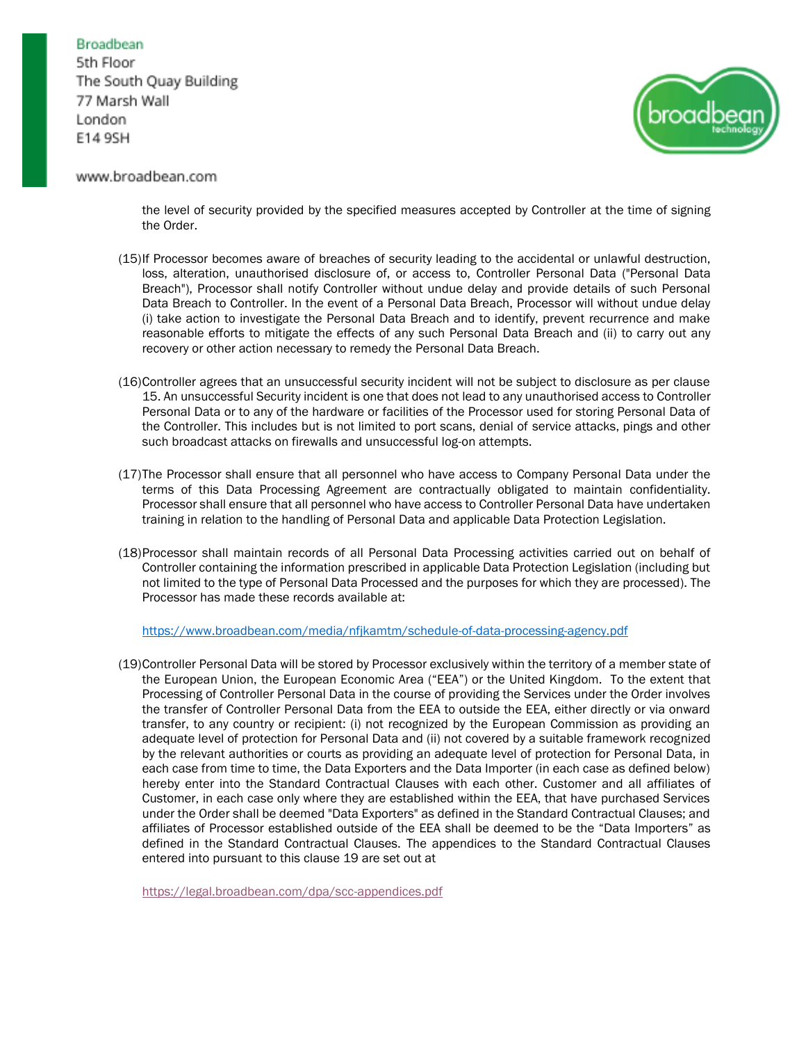

## www.broadbean.com

the level of security provided by the specified measures accepted by Controller at the time of signing the Order.

- (15)If Processor becomes aware of breaches of security leading to the accidental or unlawful destruction, loss, alteration, unauthorised disclosure of, or access to, Controller Personal Data ("Personal Data Breach"), Processor shall notify Controller without undue delay and provide details of such Personal Data Breach to Controller. In the event of a Personal Data Breach, Processor will without undue delay (i) take action to investigate the Personal Data Breach and to identify, prevent recurrence and make reasonable efforts to mitigate the effects of any such Personal Data Breach and (ii) to carry out any recovery or other action necessary to remedy the Personal Data Breach.
- (16)Controller agrees that an unsuccessful security incident will not be subject to disclosure as per clause 15. An unsuccessful Security incident is one that does not lead to any unauthorised access to Controller Personal Data or to any of the hardware or facilities of the Processor used for storing Personal Data of the Controller. This includes but is not limited to port scans, denial of service attacks, pings and other such broadcast attacks on firewalls and unsuccessful log-on attempts.
- (17)The Processor shall ensure that all personnel who have access to Company Personal Data under the terms of this Data Processing Agreement are contractually obligated to maintain confidentiality. Processor shall ensure that all personnel who have access to Controller Personal Data have undertaken training in relation to the handling of Personal Data and applicable Data Protection Legislation.
- (18)Processor shall maintain records of all Personal Data Processing activities carried out on behalf of Controller containing the information prescribed in applicable Data Protection Legislation (including but not limited to the type of Personal Data Processed and the purposes for which they are processed). The Processor has made these records available at:

<https://www.broadbean.com/media/nfjkamtm/schedule-of-data-processing-agency.pdf>

(19)Controller Personal Data will be stored by Processor exclusively within the territory of a member state of the European Union, the European Economic Area ("EEA") or the United Kingdom. To the extent that Processing of Controller Personal Data in the course of providing the Services under the Order involves the transfer of Controller Personal Data from the EEA to outside the EEA, either directly or via onward transfer, to any country or recipient: (i) not recognized by the European Commission as providing an adequate level of protection for Personal Data and (ii) not covered by a suitable framework recognized by the relevant authorities or courts as providing an adequate level of protection for Personal Data, in each case from time to time, the Data Exporters and the Data Importer (in each case as defined below) hereby enter into the Standard Contractual Clauses with each other. Customer and all affiliates of Customer, in each case only where they are established within the EEA, that have purchased Services under the Order shall be deemed "Data Exporters" as defined in the Standard Contractual Clauses; and affiliates of Processor established outside of the EEA shall be deemed to be the "Data Importers" as defined in the Standard Contractual Clauses. The appendices to the Standard Contractual Clauses entered into pursuant to this clause 19 are set out at

[https://legal.broadbean.com/dpa/scc-appendices.pdf](https://www.broadbean.com/media/dx2ln1oj/scc-appendices.pdf)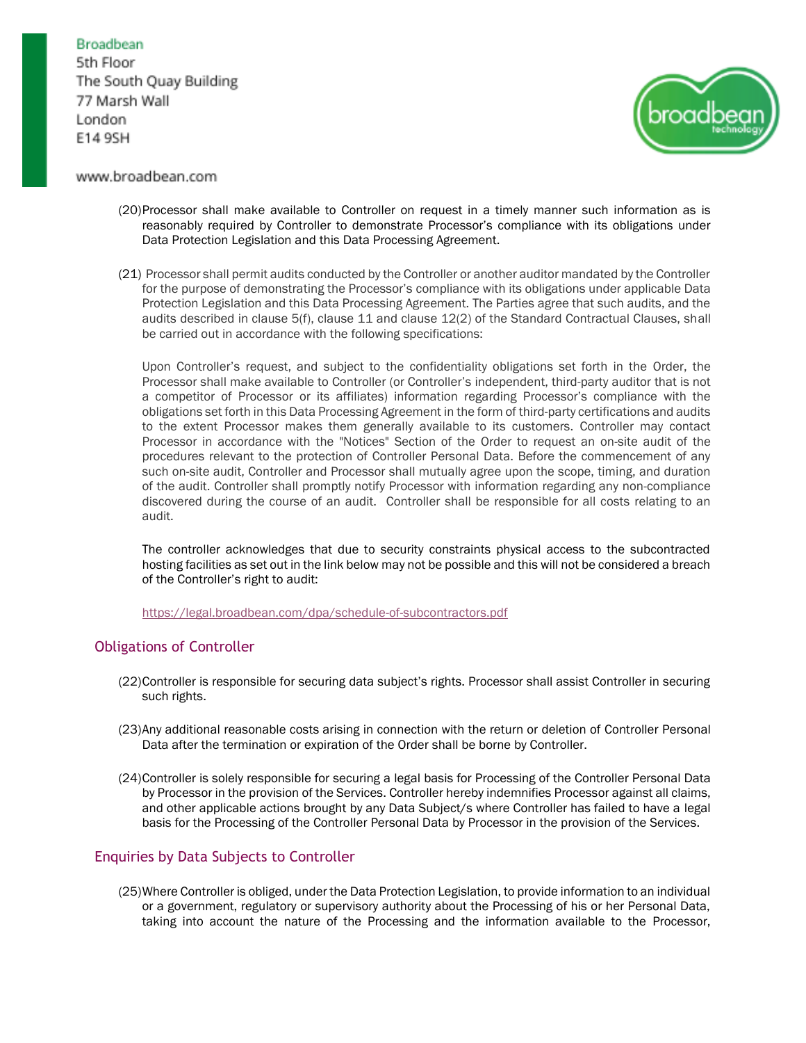# Broadbean

5th Floor The South Quay Building 77 Marsh Wall London E14 9SH



## www.broadbean.com

- (20)Processor shall make available to Controller on request in a timely manner such information as is reasonably required by Controller to demonstrate Processor's compliance with its obligations under Data Protection Legislation and this Data Processing Agreement.
- (21) Processor shall permit audits conducted by the Controller or another auditor mandated by the Controller for the purpose of demonstrating the Processor's compliance with its obligations under applicable Data Protection Legislation and this Data Processing Agreement. The Parties agree that such audits, and the audits described in clause 5(f), clause 11 and clause 12(2) of the Standard Contractual Clauses, shall be carried out in accordance with the following specifications:

Upon Controller's request, and subject to the confidentiality obligations set forth in the Order, the Processor shall make available to Controller (or Controller's independent, third-party auditor that is not a competitor of Processor or its affiliates) information regarding Processor's compliance with the obligations set forth in this Data Processing Agreement in the form of third-party certifications and audits to the extent Processor makes them generally available to its customers. Controller may contact Processor in accordance with the "Notices" Section of the Order to request an on-site audit of the procedures relevant to the protection of Controller Personal Data. Before the commencement of any such on-site audit, Controller and Processor shall mutually agree upon the scope, timing, and duration of the audit. Controller shall promptly notify Processor with information regarding any non-compliance discovered during the course of an audit. Controller shall be responsible for all costs relating to an audit.

The controller acknowledges that due to security constraints physical access to the subcontracted hosting facilities as set out in the link below may not be possible and this will not be considered a breach of the Controller's right to audit[:](https://www.broadbean.com/media/4mhpgf2i/schedule-of-subcontractors.pdf)

[https://legal.broadbean.com/dpa/schedule-of-subcontractors.pdf](https://www.broadbean.com/media/4mhpgf2i/schedule-of-subcontractors.pdf)

# Obligations of Controller

- (22)Controller is responsible for securing data subject's rights. Processor shall assist Controller in securing such rights.
- (23)Any additional reasonable costs arising in connection with the return or deletion of Controller Personal Data after the termination or expiration of the Order shall be borne by Controller.
- (24)Controller is solely responsible for securing a legal basis for Processing of the Controller Personal Data by Processor in the provision of the Services. Controller hereby indemnifies Processor against all claims, and other applicable actions brought by any Data Subject/s where Controller has failed to have a legal basis for the Processing of the Controller Personal Data by Processor in the provision of the Services.

# Enquiries by Data Subjects to Controller

(25)Where Controller is obliged, under the Data Protection Legislation, to provide information to an individual or a government, regulatory or supervisory authority about the Processing of his or her Personal Data, taking into account the nature of the Processing and the information available to the Processor,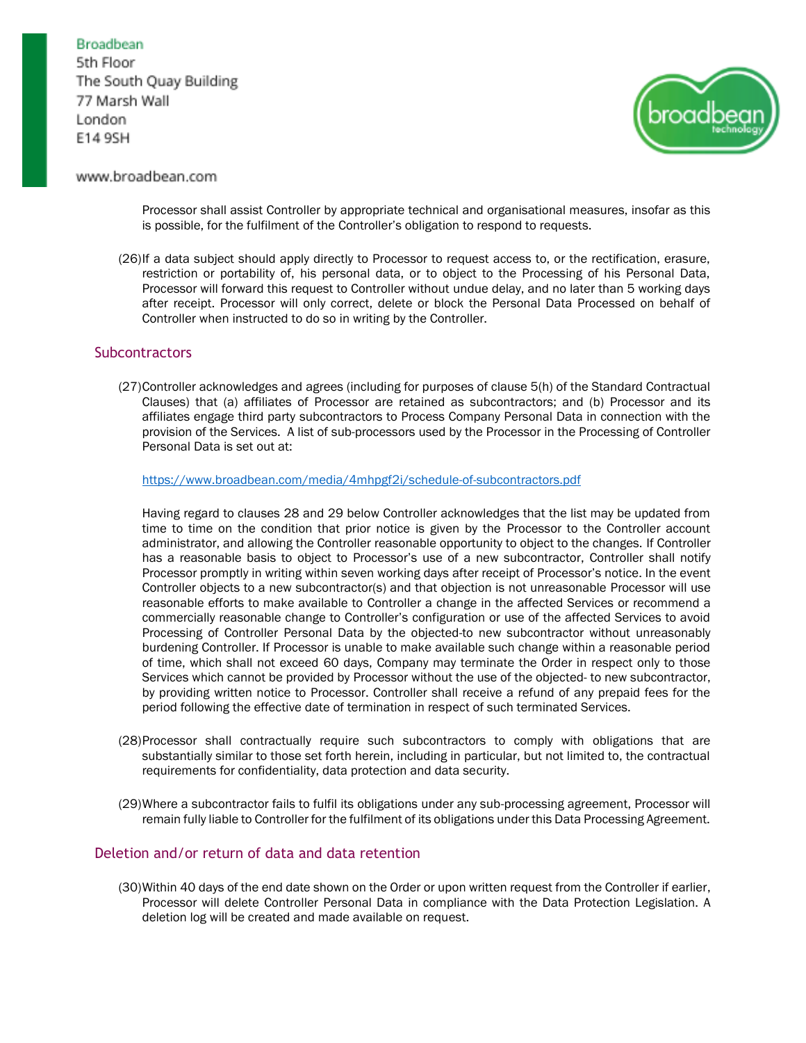

## www.broadbean.com

Processor shall assist Controller by appropriate technical and organisational measures, insofar as this is possible, for the fulfilment of the Controller's obligation to respond to requests.

(26)If a data subject should apply directly to Processor to request access to, or the rectification, erasure, restriction or portability of, his personal data, or to object to the Processing of his Personal Data, Processor will forward this request to Controller without undue delay, and no later than 5 working days after receipt. Processor will only correct, delete or block the Personal Data Processed on behalf of Controller when instructed to do so in writing by the Controller.

## **Subcontractors**

(27)Controller acknowledges and agrees (including for purposes of clause 5(h) of the Standard Contractual Clauses) that (a) affiliates of Processor are retained as subcontractors; and (b) Processor and its affiliates engage third party subcontractors to Process Company Personal Data in connection with the provision of the Services. A list of sub-processors used by the Processor in the Processing of Controller Personal Data is set out at:

#### <https://www.broadbean.com/media/4mhpgf2i/schedule-of-subcontractors.pdf>

Having regard to clauses 28 and 29 below Controller acknowledges that the list may be updated from time to time on the condition that prior notice is given by the Processor to the Controller account administrator, and allowing the Controller reasonable opportunity to object to the changes. If Controller has a reasonable basis to object to Processor's use of a new subcontractor, Controller shall notify Processor promptly in writing within seven working days after receipt of Processor's notice. In the event Controller objects to a new subcontractor(s) and that objection is not unreasonable Processor will use reasonable efforts to make available to Controller a change in the affected Services or recommend a commercially reasonable change to Controller's configuration or use of the affected Services to avoid Processing of Controller Personal Data by the objected-to new subcontractor without unreasonably burdening Controller. If Processor is unable to make available such change within a reasonable period of time, which shall not exceed 60 days, Company may terminate the Order in respect only to those Services which cannot be provided by Processor without the use of the objected- to new subcontractor, by providing written notice to Processor. Controller shall receive a refund of any prepaid fees for the period following the effective date of termination in respect of such terminated Services.

- (28)Processor shall contractually require such subcontractors to comply with obligations that are substantially similar to those set forth herein, including in particular, but not limited to, the contractual requirements for confidentiality, data protection and data security.
- (29)Where a subcontractor fails to fulfil its obligations under any sub-processing agreement, Processor will remain fully liable to Controller for the fulfilment of its obligations under this Data Processing Agreement.

### Deletion and/or return of data and data retention

(30)Within 40 days of the end date shown on the Order or upon written request from the Controller if earlier, Processor will delete Controller Personal Data in compliance with the Data Protection Legislation. A deletion log will be created and made available on request.